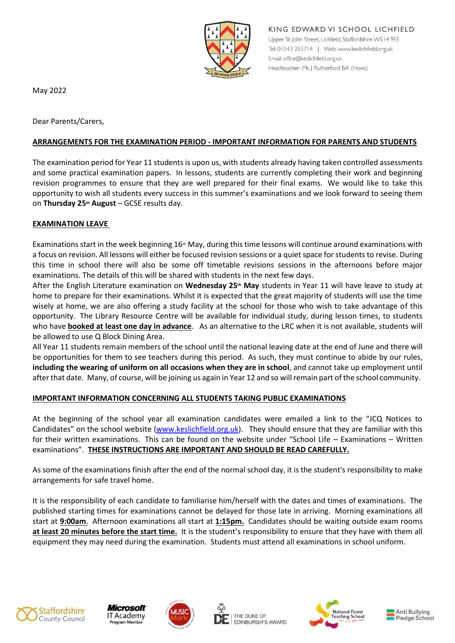

KING EDWARD VI SCHOOL LICHFIELD Upper St John Street, Lichfield, Staffordshire WS14 9EE Tel: 01543 255714 | Web: www.keslichfield.org.uk Email: office@keslichfield.org.uk Headteacher: Ms J Rutherford BA (Hons)

May 2022

Dear Parents/Carers,

### **ARRANGEMENTS FOR THE EXAMINATION PERIOD - IMPORTANT INFORMATION FOR PARENTS AND STUDENTS**

The examination period for Year 11 students is upon us, with students already having taken controlled assessments and some practical examination papers. In lessons, students are currently completing their work and beginning revision programmes to ensure that they are well prepared for their final exams. We would like to take this opportunity to wish all students every success in this summer's examinations and we look forward to seeing them on **Thursday 25th August** – GCSE results day.

#### **EXAMINATION LEAVE**

Examinations start in the week beginning  $16<sup>th</sup>$  May, during this time lessons will continue around examinations with a focus on revision. All lessons will either be focused revision sessions or a quiet space for students to revise. During this time in school there will also be some off timetable revisions sessions in the afternoons before major examinations. The details of this will be shared with students in the next few days.

After the English Literature examination on **Wednesday 25th May** students in Year 11 will have leave to study at home to prepare for their examinations. Whilst it is expected that the great majority of students will use the time wisely at home, we are also offering a study facility at the school for those who wish to take advantage of this opportunity. The Library Resource Centre will be available for individual study, during lesson times, to students who have **booked at least one day in advance**. As an alternative to the LRC when it is not available, students will be allowed to use Q Block Dining Area.

All Year 11 students remain members of the school until the national leaving date at the end of June and there will be opportunities for them to see teachers during this period. As such, they must continue to abide by our rules, **including the wearing of uniform on all occasions when they are in school**, and cannot take up employment until after that date. Many, of course, will be joining us again in Year 12 and so will remain part of the school community.

#### **IMPORTANT INFORMATION CONCERNING ALL STUDENTS TAKING PUBLIC EXAMINATIONS**

At the beginning of the school year all examination candidates were emailed a link to the "JCQ Notices to Candidates" on the school website [\(www.keslichfield.org.uk](http://www.keslichfield.org.uk/)). They should ensure that they are familiar with this for their written examinations.  This can be found on the website under "School Life – Examinations – Written examinations".  **THESE INSTRUCTIONS ARE IMPORTANT AND SHOULD BE READ CAREFULLY.**

As some of the examinations finish after the end of the normal school day, it is the student's responsibility to make arrangements for safe travel home.

It is the responsibility of each candidate to familiarise him/herself with the dates and times of examinations. The published starting times for examinations cannot be delayed for those late in arriving. Morning examinations all start at **9:00am**. Afternoon examinations all start at **1:15pm.** Candidates should be waiting outside exam rooms **at least 20 minutes before the start time.** It is the student's responsibility to ensure that they have with them all equipment they may need during the examination. Students must attend all examinations in school uniform.











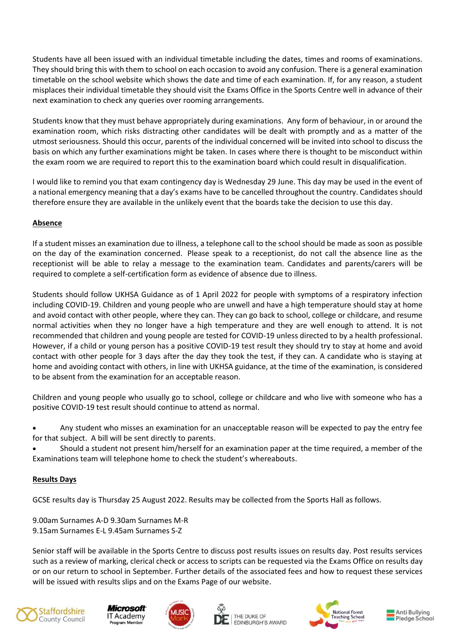Students have all been issued with an individual timetable including the dates, times and rooms of examinations. They should bring this with them to school on each occasion to avoid any confusion. There is a general examination timetable on the school website which shows the date and time of each examination. If, for any reason, a student misplaces their individual timetable they should visit the Exams Office in the Sports Centre well in advance of their next examination to check any queries over rooming arrangements.

Students know that they must behave appropriately during examinations. Any form of behaviour, in or around the examination room, which risks distracting other candidates will be dealt with promptly and as a matter of the utmost seriousness. Should this occur, parents of the individual concerned will be invited into school to discuss the basis on which any further examinations might be taken. In cases where there is thought to be misconduct within the exam room we are required to report this to the examination board which could result in disqualification.

I would like to remind you that exam contingency day is Wednesday 29 June. This day may be used in the event of a national emergency meaning that a day's exams have to be cancelled throughout the country. Candidates should therefore ensure they are available in the unlikely event that the boards take the decision to use this day.

# **Absence**

If a student misses an examination due to illness, a telephone call to the school should be made as soon as possible on the day of the examination concerned.  Please speak to a receptionist, do not call the absence line as the receptionist will be able to relay a message to the examination team. Candidates and parents/carers will be required to complete a self-certification form as evidence of absence due to illness. 

Students should follow UKHSA Guidance as of 1 April 2022 for people with symptoms of a respiratory infection including COVID-19. Children and young people who are unwell and have a high temperature should stay at home and avoid contact with other people, where they can. They can go back to school, college or childcare, and resume normal activities when they no longer have a high temperature and they are well enough to attend. It is not recommended that children and young people are tested for COVID-19 unless directed to by a health professional. However, if a child or young person has a positive COVID-19 test result they should try to stay at home and avoid contact with other people for 3 days after the day they took the test, if they can. A candidate who is staying at home and avoiding contact with others, in line with UKHSA guidance, at the time of the examination, is considered to be absent from the examination for an acceptable reason.

Children and young people who usually go to school, college or childcare and who live with someone who has a positive COVID-19 test result should continue to attend as normal.

 Any student who misses an examination for an unacceptable reason will be expected to pay the entry fee for that subject.  A bill will be sent directly to parents.

 Should a student not present him/herself for an examination paper at the time required, a member of the Examinations team will telephone home to check the student's whereabouts.

#### **Results Days**

GCSE results day is Thursday 25 August 2022. Results may be collected from the Sports Hall as follows.

9.00am Surnames A-D 9.30am Surnames M-R 9.15am Surnames E-L 9.45am Surnames S-Z

Senior staff will be available in the Sports Centre to discuss post results issues on results day. Post results services such as a review of marking, clerical check or access to scripts can be requested via the Exams Office on results day or on our return to school in September. Further details of the associated fees and how to request these services will be issued with results slips and on the Exams Page of our website.









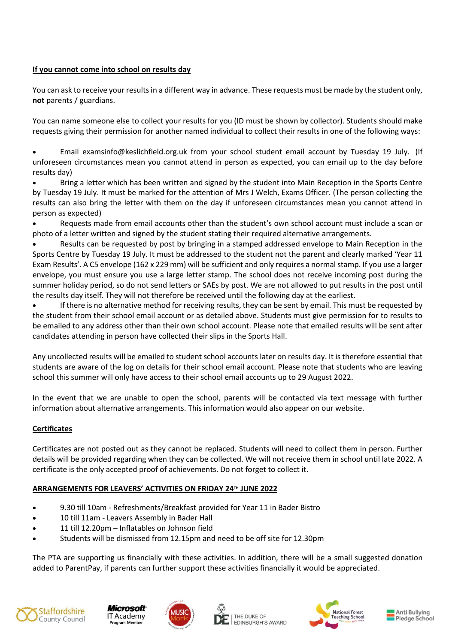### **If you cannot come into school on results day**

You can ask to receive your results in a different way in advance. These requests must be made by the student only, **not** parents / guardians.

You can name someone else to collect your results for you (ID must be shown by collector). Students should make requests giving their permission for another named individual to collect their results in one of the following ways:

 Email examsinfo@keslichfield.org.uk from your school student email account by Tuesday 19 July. (If unforeseen circumstances mean you cannot attend in person as expected, you can email up to the day before results day)

 Bring a letter which has been written and signed by the student into Main Reception in the Sports Centre by Tuesday 19 July. It must be marked for the attention of Mrs J Welch, Exams Officer. (The person collecting the results can also bring the letter with them on the day if unforeseen circumstances mean you cannot attend in person as expected)

 Requests made from email accounts other than the student's own school account must include a scan or photo of a letter written and signed by the student stating their required alternative arrangements.

 Results can be requested by post by bringing in a stamped addressed envelope to Main Reception in the Sports Centre by Tuesday 19 July. It must be addressed to the student not the parent and clearly marked 'Year 11 Exam Results'. A C5 envelope (162 x 229 mm) will be sufficient and only requires a normal stamp. If you use a larger envelope, you must ensure you use a large letter stamp. The school does not receive incoming post during the summer holiday period, so do not send letters or SAEs by post. We are not allowed to put results in the post until the results day itself. They will not therefore be received until the following day at the earliest.

 If there is no alternative method for receiving results, they can be sent by email. This must be requested by the student from their school email account or as detailed above. Students must give permission for to results to be emailed to any address other than their own school account. Please note that emailed results will be sent after candidates attending in person have collected their slips in the Sports Hall.

Any uncollected results will be emailed to student school accounts later on results day. It is therefore essential that students are aware of the log on details for their school email account. Please note that students who are leaving school this summer will only have access to their school email accounts up to 29 August 2022.

In the event that we are unable to open the school, parents will be contacted via text message with further information about alternative arrangements. This information would also appear on our website.

# **Certificates**

Certificates are not posted out as they cannot be replaced. Students will need to collect them in person. Further details will be provided regarding when they can be collected. We will not receive them in school until late 2022. A certificate is the only accepted proof of achievements. Do not forget to collect it.

# **ARRANGEMENTS FOR LEAVERS' ACTIVITIES ON FRIDAY 24TH JUNE 2022**

- 9.30 till 10am Refreshments/Breakfast provided for Year 11 in Bader Bistro
- 10 till 11am Leavers Assembly in Bader Hall
- 11 till 12.20pm Inflatables on Johnson field
- Students will be dismissed from 12.15pm and need to be off site for 12.30pm

The PTA are supporting us financially with these activities. In addition, there will be a small suggested donation added to ParentPay, if parents can further support these activities financially it would be appreciated.